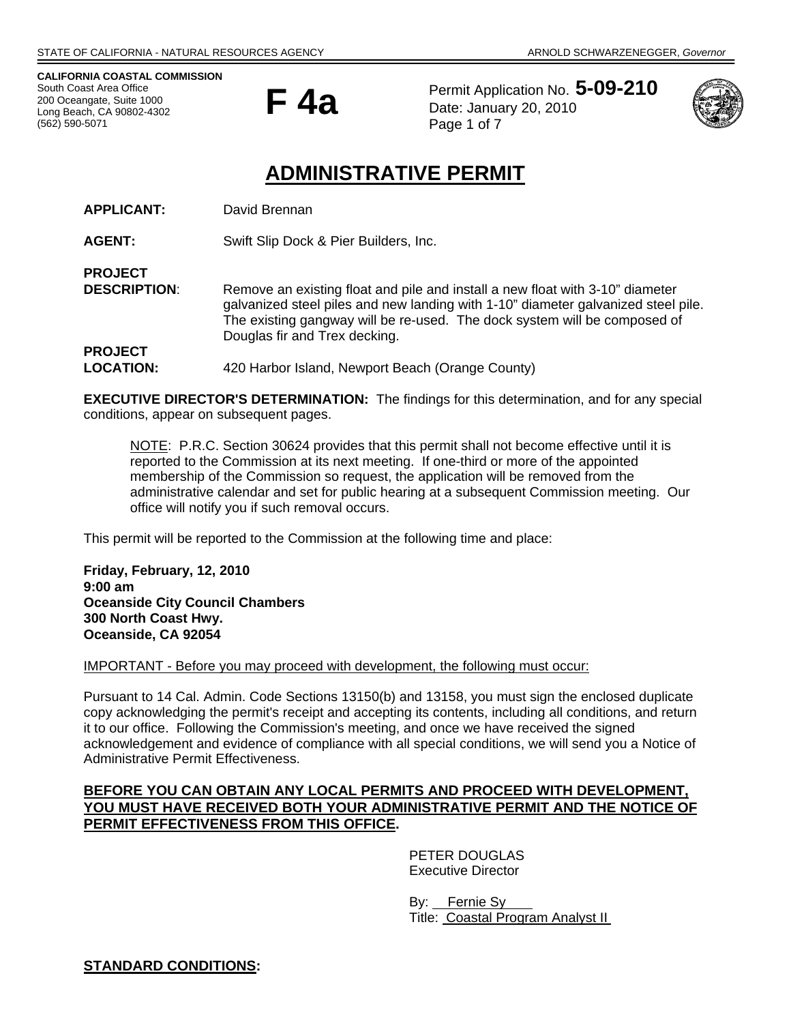**CALIFORNIA COASTAL COMMISSION**  South Coast Area Office 200 Oceangate, Suite 1000 Long Beach, CA 90802-4302 (562) 590-5071

**PROJECT** 



Permit Application No. **5-09-210** Date: January 20, 2010 Page 1 of 7



# **ADMINISTRATIVE PERMIT**

| <b>APPLICANT:</b> | David Brennan |
|-------------------|---------------|
|-------------------|---------------|

**AGENT:** Swift Slip Dock & Pier Builders, Inc.

**DESCRIPTION:** Remove an existing float and pile and install a new float with 3-10" diameter galvanized steel piles and new landing with 1-10" diameter galvanized steel pile. The existing gangway will be re-used. The dock system will be composed of Douglas fir and Trex decking. **PROJECT** 

**LOCATION:** 420 Harbor Island, Newport Beach (Orange County)

**EXECUTIVE DIRECTOR'S DETERMINATION:** The findings for this determination, and for any special conditions, appear on subsequent pages.

NOTE: P.R.C. Section 30624 provides that this permit shall not become effective until it is reported to the Commission at its next meeting. If one-third or more of the appointed membership of the Commission so request, the application will be removed from the administrative calendar and set for public hearing at a subsequent Commission meeting. Our office will notify you if such removal occurs.

This permit will be reported to the Commission at the following time and place:

**Friday, February, 12, 2010 9:00 am Oceanside City Council Chambers 300 North Coast Hwy. Oceanside, CA 92054** 

IMPORTANT - Before you may proceed with development, the following must occur:

Pursuant to 14 Cal. Admin. Code Sections 13150(b) and 13158, you must sign the enclosed duplicate copy acknowledging the permit's receipt and accepting its contents, including all conditions, and return it to our office. Following the Commission's meeting, and once we have received the signed acknowledgement and evidence of compliance with all special conditions, we will send you a Notice of Administrative Permit Effectiveness.

# **BEFORE YOU CAN OBTAIN ANY LOCAL PERMITS AND PROCEED WITH DEVELOPMENT, YOU MUST HAVE RECEIVED BOTH YOUR ADMINISTRATIVE PERMIT AND THE NOTICE OF PERMIT EFFECTIVENESS FROM THIS OFFICE.**

 PETER DOUGLAS Executive Director

 By: Fernie Sy Title: Coastal Program Analyst II

**STANDARD CONDITIONS:**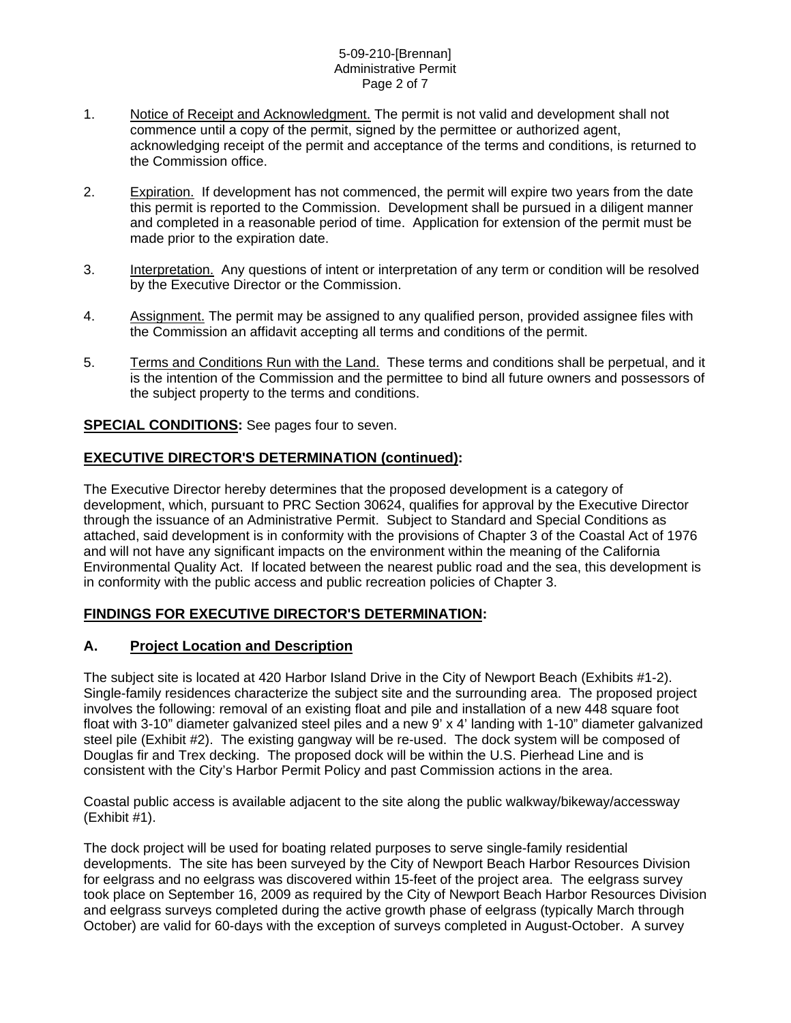### 5-09-210-[Brennan] Administrative Permit Page 2 of 7

- 1. Notice of Receipt and Acknowledgment. The permit is not valid and development shall not commence until a copy of the permit, signed by the permittee or authorized agent, acknowledging receipt of the permit and acceptance of the terms and conditions, is returned to the Commission office.
- 2. Expiration. If development has not commenced, the permit will expire two years from the date this permit is reported to the Commission. Development shall be pursued in a diligent manner and completed in a reasonable period of time. Application for extension of the permit must be made prior to the expiration date.
- 3. Interpretation. Any questions of intent or interpretation of any term or condition will be resolved by the Executive Director or the Commission.
- 4. Assignment. The permit may be assigned to any qualified person, provided assignee files with the Commission an affidavit accepting all terms and conditions of the permit.
- 5. Terms and Conditions Run with the Land. These terms and conditions shall be perpetual, and it is the intention of the Commission and the permittee to bind all future owners and possessors of the subject property to the terms and conditions.

## **SPECIAL CONDITIONS:** See pages four to seven.

# **EXECUTIVE DIRECTOR'S DETERMINATION (continued):**

The Executive Director hereby determines that the proposed development is a category of development, which, pursuant to PRC Section 30624, qualifies for approval by the Executive Director through the issuance of an Administrative Permit. Subject to Standard and Special Conditions as attached, said development is in conformity with the provisions of Chapter 3 of the Coastal Act of 1976 and will not have any significant impacts on the environment within the meaning of the California Environmental Quality Act. If located between the nearest public road and the sea, this development is in conformity with the public access and public recreation policies of Chapter 3.

# **FINDINGS FOR EXECUTIVE DIRECTOR'S DETERMINATION:**

## **A. Project Location and Description**

The subject site is located at 420 Harbor Island Drive in the City of Newport Beach (Exhibits #1-2). Single-family residences characterize the subject site and the surrounding area. The proposed project involves the following: removal of an existing float and pile and installation of a new 448 square foot float with 3-10" diameter galvanized steel piles and a new 9' x 4' landing with 1-10" diameter galvanized steel pile (Exhibit #2). The existing gangway will be re-used. The dock system will be composed of Douglas fir and Trex decking. The proposed dock will be within the U.S. Pierhead Line and is consistent with the City's Harbor Permit Policy and past Commission actions in the area.

Coastal public access is available adjacent to the site along the public walkway/bikeway/accessway (Exhibit #1).

The dock project will be used for boating related purposes to serve single-family residential developments. The site has been surveyed by the City of Newport Beach Harbor Resources Division for eelgrass and no eelgrass was discovered within 15-feet of the project area. The eelgrass survey took place on September 16, 2009 as required by the City of Newport Beach Harbor Resources Division and eelgrass surveys completed during the active growth phase of eelgrass (typically March through October) are valid for 60-days with the exception of surveys completed in August-October. A survey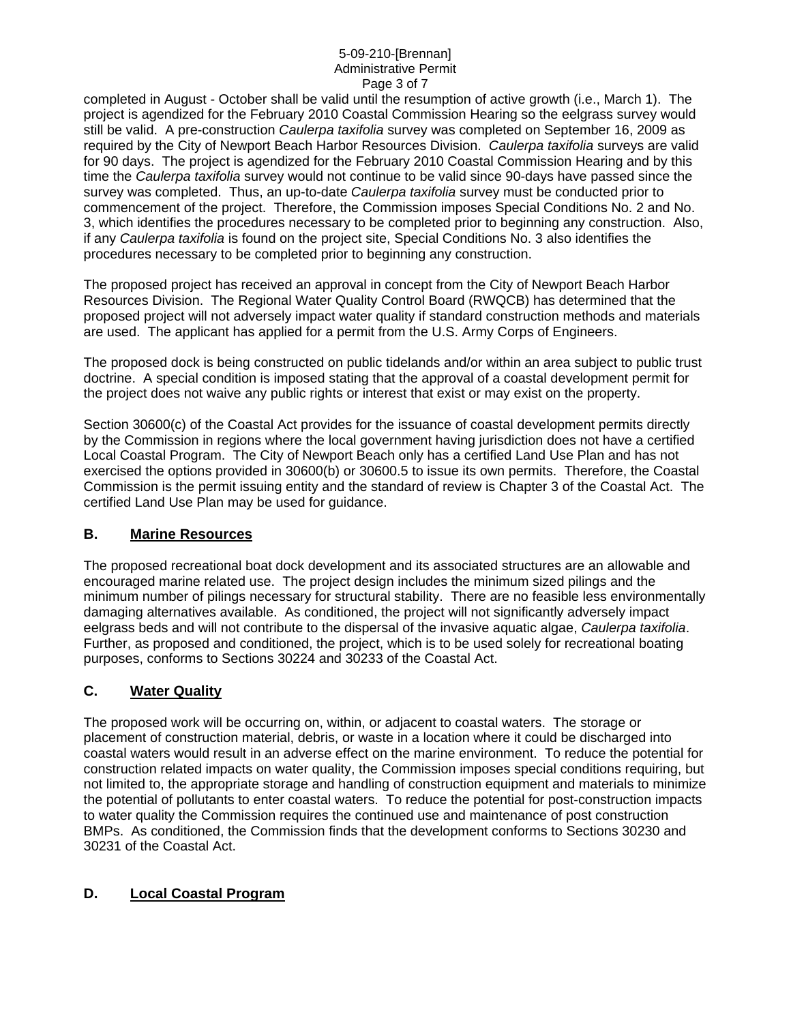## 5-09-210-[Brennan] Administrative Permit Page 3 of 7

completed in August - October shall be valid until the resumption of active growth (i.e., March 1). The project is agendized for the February 2010 Coastal Commission Hearing so the eelgrass survey would still be valid. A pre-construction *Caulerpa taxifolia* survey was completed on September 16, 2009 as required by the City of Newport Beach Harbor Resources Division. *Caulerpa taxifolia* surveys are valid for 90 days. The project is agendized for the February 2010 Coastal Commission Hearing and by this time the *Caulerpa taxifolia* survey would not continue to be valid since 90-days have passed since the survey was completed. Thus, an up-to-date *Caulerpa taxifolia* survey must be conducted prior to commencement of the project. Therefore, the Commission imposes Special Conditions No. 2 and No. 3, which identifies the procedures necessary to be completed prior to beginning any construction. Also, if any *Caulerpa taxifolia* is found on the project site, Special Conditions No. 3 also identifies the procedures necessary to be completed prior to beginning any construction.

The proposed project has received an approval in concept from the City of Newport Beach Harbor Resources Division. The Regional Water Quality Control Board (RWQCB) has determined that the proposed project will not adversely impact water quality if standard construction methods and materials are used. The applicant has applied for a permit from the U.S. Army Corps of Engineers.

The proposed dock is being constructed on public tidelands and/or within an area subject to public trust doctrine. A special condition is imposed stating that the approval of a coastal development permit for the project does not waive any public rights or interest that exist or may exist on the property.

Section 30600(c) of the Coastal Act provides for the issuance of coastal development permits directly by the Commission in regions where the local government having jurisdiction does not have a certified Local Coastal Program. The City of Newport Beach only has a certified Land Use Plan and has not exercised the options provided in 30600(b) or 30600.5 to issue its own permits. Therefore, the Coastal Commission is the permit issuing entity and the standard of review is Chapter 3 of the Coastal Act. The certified Land Use Plan may be used for guidance.

# **B. Marine Resources**

The proposed recreational boat dock development and its associated structures are an allowable and encouraged marine related use. The project design includes the minimum sized pilings and the minimum number of pilings necessary for structural stability. There are no feasible less environmentally damaging alternatives available. As conditioned, the project will not significantly adversely impact eelgrass beds and will not contribute to the dispersal of the invasive aquatic algae, *Caulerpa taxifolia*. Further, as proposed and conditioned, the project, which is to be used solely for recreational boating purposes, conforms to Sections 30224 and 30233 of the Coastal Act.

# **C. Water Quality**

The proposed work will be occurring on, within, or adjacent to coastal waters. The storage or placement of construction material, debris, or waste in a location where it could be discharged into coastal waters would result in an adverse effect on the marine environment. To reduce the potential for construction related impacts on water quality, the Commission imposes special conditions requiring, but not limited to, the appropriate storage and handling of construction equipment and materials to minimize the potential of pollutants to enter coastal waters. To reduce the potential for post-construction impacts to water quality the Commission requires the continued use and maintenance of post construction BMPs. As conditioned, the Commission finds that the development conforms to Sections 30230 and 30231 of the Coastal Act.

# **D. Local Coastal Program**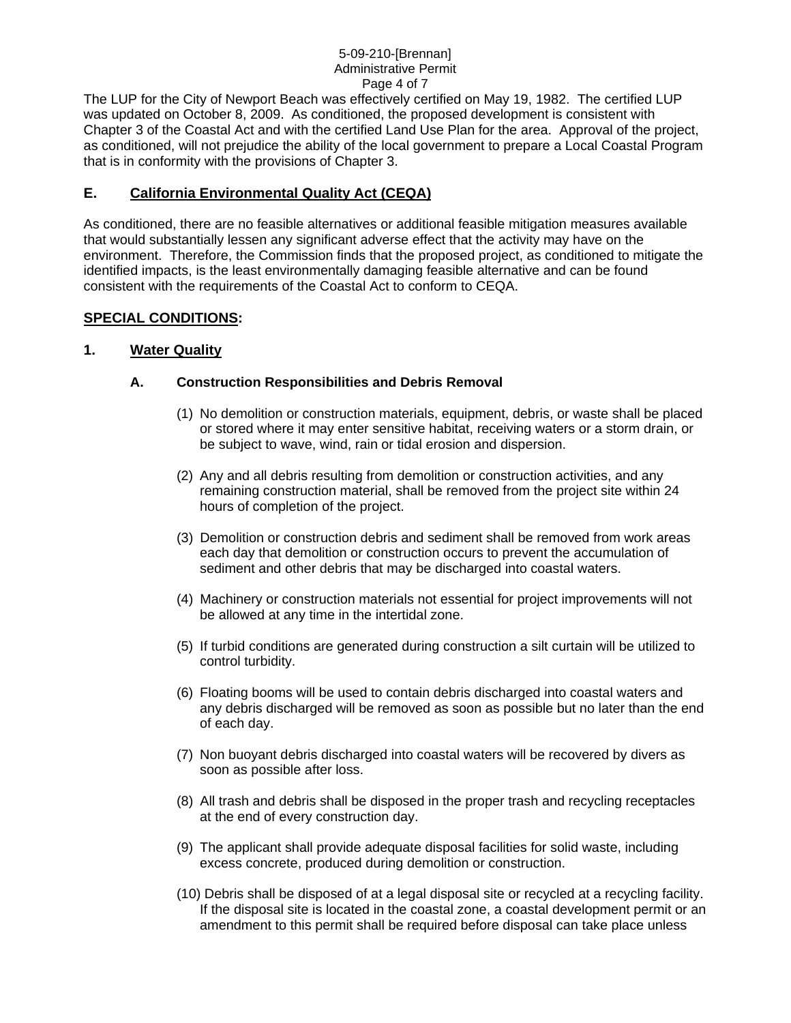## 5-09-210-[Brennan] Administrative Permit Page 4 of 7

The LUP for the City of Newport Beach was effectively certified on May 19, 1982. The certified LUP was updated on October 8, 2009. As conditioned, the proposed development is consistent with Chapter 3 of the Coastal Act and with the certified Land Use Plan for the area. Approval of the project, as conditioned, will not prejudice the ability of the local government to prepare a Local Coastal Program that is in conformity with the provisions of Chapter 3.

# **E. California Environmental Quality Act (CEQA)**

As conditioned, there are no feasible alternatives or additional feasible mitigation measures available that would substantially lessen any significant adverse effect that the activity may have on the environment. Therefore, the Commission finds that the proposed project, as conditioned to mitigate the identified impacts, is the least environmentally damaging feasible alternative and can be found consistent with the requirements of the Coastal Act to conform to CEQA.

# **SPECIAL CONDITIONS:**

## **1. Water Quality**

## **A. Construction Responsibilities and Debris Removal**

- (1) No demolition or construction materials, equipment, debris, or waste shall be placed or stored where it may enter sensitive habitat, receiving waters or a storm drain, or be subject to wave, wind, rain or tidal erosion and dispersion.
- (2) Any and all debris resulting from demolition or construction activities, and any remaining construction material, shall be removed from the project site within 24 hours of completion of the project.
- (3) Demolition or construction debris and sediment shall be removed from work areas each day that demolition or construction occurs to prevent the accumulation of sediment and other debris that may be discharged into coastal waters.
- (4) Machinery or construction materials not essential for project improvements will not be allowed at any time in the intertidal zone.
- (5) If turbid conditions are generated during construction a silt curtain will be utilized to control turbidity.
- (6) Floating booms will be used to contain debris discharged into coastal waters and any debris discharged will be removed as soon as possible but no later than the end of each day.
- (7) Non buoyant debris discharged into coastal waters will be recovered by divers as soon as possible after loss.
- (8) All trash and debris shall be disposed in the proper trash and recycling receptacles at the end of every construction day.
- (9) The applicant shall provide adequate disposal facilities for solid waste, including excess concrete, produced during demolition or construction.
- (10) Debris shall be disposed of at a legal disposal site or recycled at a recycling facility. If the disposal site is located in the coastal zone, a coastal development permit or an amendment to this permit shall be required before disposal can take place unless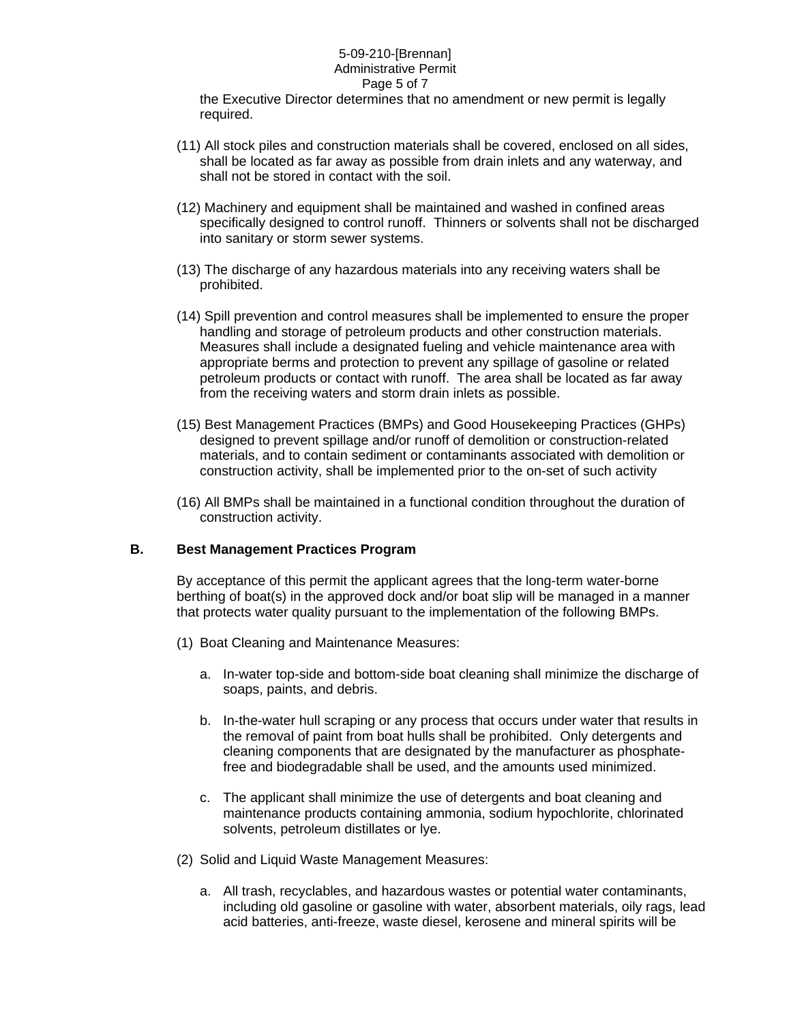## 5-09-210-[Brennan] Administrative Permit Page 5 of 7

the Executive Director determines that no amendment or new permit is legally required.

- (11) All stock piles and construction materials shall be covered, enclosed on all sides, shall be located as far away as possible from drain inlets and any waterway, and shall not be stored in contact with the soil.
- (12) Machinery and equipment shall be maintained and washed in confined areas specifically designed to control runoff. Thinners or solvents shall not be discharged into sanitary or storm sewer systems.
- (13) The discharge of any hazardous materials into any receiving waters shall be prohibited.
- (14) Spill prevention and control measures shall be implemented to ensure the proper handling and storage of petroleum products and other construction materials. Measures shall include a designated fueling and vehicle maintenance area with appropriate berms and protection to prevent any spillage of gasoline or related petroleum products or contact with runoff. The area shall be located as far away from the receiving waters and storm drain inlets as possible.
- (15) Best Management Practices (BMPs) and Good Housekeeping Practices (GHPs) designed to prevent spillage and/or runoff of demolition or construction-related materials, and to contain sediment or contaminants associated with demolition or construction activity, shall be implemented prior to the on-set of such activity
- (16) All BMPs shall be maintained in a functional condition throughout the duration of construction activity.

## **B. Best Management Practices Program**

By acceptance of this permit the applicant agrees that the long-term water-borne berthing of boat(s) in the approved dock and/or boat slip will be managed in a manner that protects water quality pursuant to the implementation of the following BMPs.

- (1) Boat Cleaning and Maintenance Measures:
	- a. In-water top-side and bottom-side boat cleaning shall minimize the discharge of soaps, paints, and debris.
	- b. In-the-water hull scraping or any process that occurs under water that results in the removal of paint from boat hulls shall be prohibited. Only detergents and cleaning components that are designated by the manufacturer as phosphatefree and biodegradable shall be used, and the amounts used minimized.
	- c. The applicant shall minimize the use of detergents and boat cleaning and maintenance products containing ammonia, sodium hypochlorite, chlorinated solvents, petroleum distillates or lye.
- (2) Solid and Liquid Waste Management Measures:
	- a. All trash, recyclables, and hazardous wastes or potential water contaminants, including old gasoline or gasoline with water, absorbent materials, oily rags, lead acid batteries, anti-freeze, waste diesel, kerosene and mineral spirits will be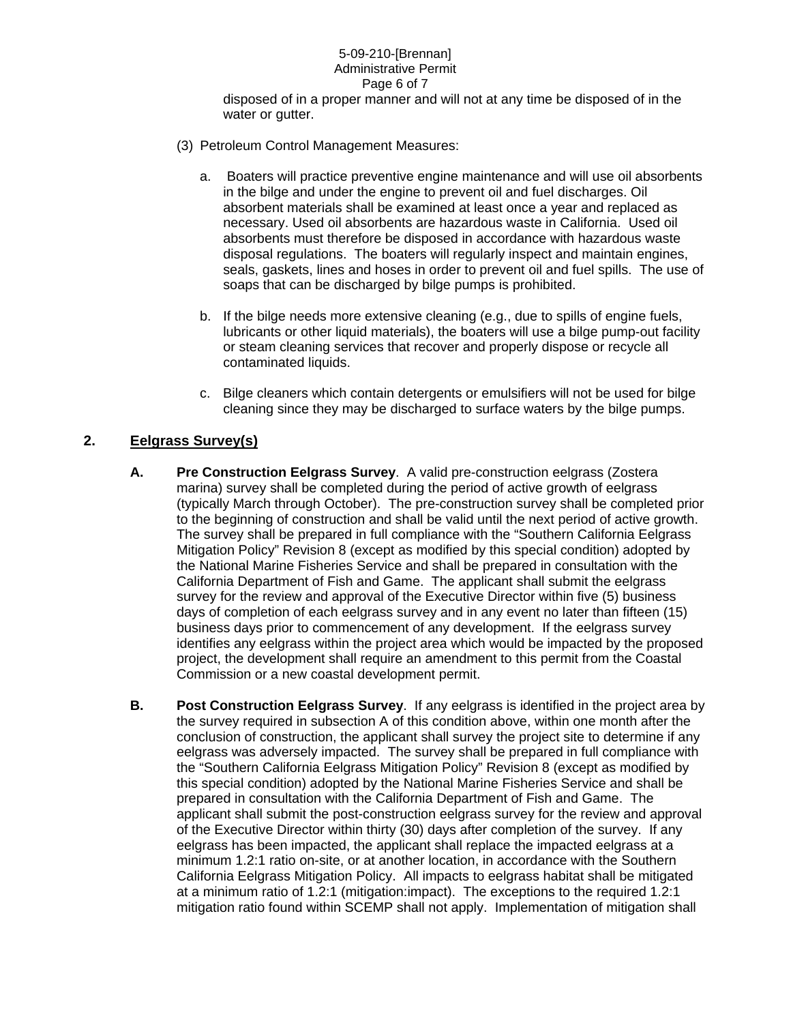#### 5-09-210-[Brennan] Administrative Permit Page 6 of 7

disposed of in a proper manner and will not at any time be disposed of in the water or gutter.

- (3) Petroleum Control Management Measures:
	- a. Boaters will practice preventive engine maintenance and will use oil absorbents in the bilge and under the engine to prevent oil and fuel discharges. Oil absorbent materials shall be examined at least once a year and replaced as necessary. Used oil absorbents are hazardous waste in California. Used oil absorbents must therefore be disposed in accordance with hazardous waste disposal regulations. The boaters will regularly inspect and maintain engines, seals, gaskets, lines and hoses in order to prevent oil and fuel spills. The use of soaps that can be discharged by bilge pumps is prohibited.
	- b. If the bilge needs more extensive cleaning (e.g., due to spills of engine fuels, lubricants or other liquid materials), the boaters will use a bilge pump-out facility or steam cleaning services that recover and properly dispose or recycle all contaminated liquids.
	- c. Bilge cleaners which contain detergents or emulsifiers will not be used for bilge cleaning since they may be discharged to surface waters by the bilge pumps.

# **2. Eelgrass Survey(s)**

- **A. Pre Construction Eelgrass Survey**. A valid pre-construction eelgrass (Zostera marina) survey shall be completed during the period of active growth of eelgrass (typically March through October). The pre-construction survey shall be completed prior to the beginning of construction and shall be valid until the next period of active growth. The survey shall be prepared in full compliance with the "Southern California Eelgrass Mitigation Policy" Revision 8 (except as modified by this special condition) adopted by the National Marine Fisheries Service and shall be prepared in consultation with the California Department of Fish and Game. The applicant shall submit the eelgrass survey for the review and approval of the Executive Director within five (5) business days of completion of each eelgrass survey and in any event no later than fifteen (15) business days prior to commencement of any development. If the eelgrass survey identifies any eelgrass within the project area which would be impacted by the proposed project, the development shall require an amendment to this permit from the Coastal Commission or a new coastal development permit.
- **B. Post Construction Eelgrass Survey**. If any eelgrass is identified in the project area by the survey required in subsection A of this condition above, within one month after the conclusion of construction, the applicant shall survey the project site to determine if any eelgrass was adversely impacted. The survey shall be prepared in full compliance with the "Southern California Eelgrass Mitigation Policy" Revision 8 (except as modified by this special condition) adopted by the National Marine Fisheries Service and shall be prepared in consultation with the California Department of Fish and Game. The applicant shall submit the post-construction eelgrass survey for the review and approval of the Executive Director within thirty (30) days after completion of the survey. If any eelgrass has been impacted, the applicant shall replace the impacted eelgrass at a minimum 1.2:1 ratio on-site, or at another location, in accordance with the Southern California Eelgrass Mitigation Policy. All impacts to eelgrass habitat shall be mitigated at a minimum ratio of 1.2:1 (mitigation:impact). The exceptions to the required 1.2:1 mitigation ratio found within SCEMP shall not apply. Implementation of mitigation shall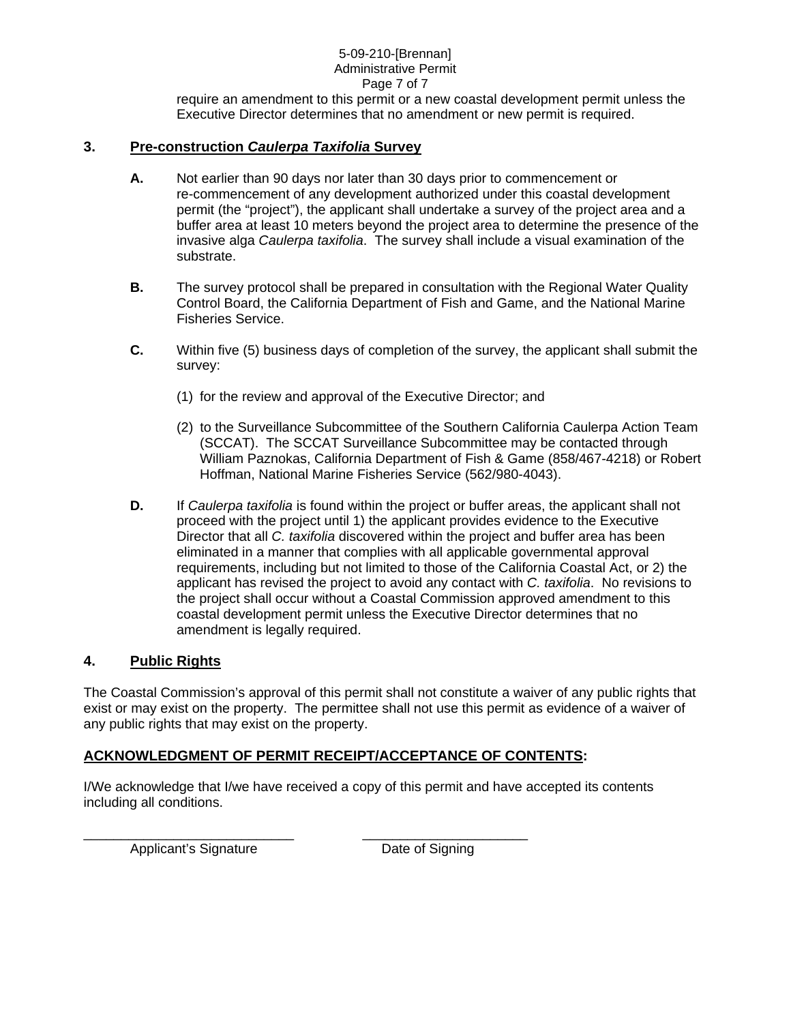## 5-09-210-[Brennan] Administrative Permit Page 7 of 7

require an amendment to this permit or a new coastal development permit unless the Executive Director determines that no amendment or new permit is required.

## **3. Pre-construction** *Caulerpa Taxifolia* **Survey**

- **A.** Not earlier than 90 days nor later than 30 days prior to commencement or re-commencement of any development authorized under this coastal development permit (the "project"), the applicant shall undertake a survey of the project area and a buffer area at least 10 meters beyond the project area to determine the presence of the invasive alga *Caulerpa taxifolia*. The survey shall include a visual examination of the substrate.
- **B.** The survey protocol shall be prepared in consultation with the Regional Water Quality Control Board, the California Department of Fish and Game, and the National Marine Fisheries Service.
- **C.** Within five (5) business days of completion of the survey, the applicant shall submit the survey:
	- (1) for the review and approval of the Executive Director; and
	- (2) to the Surveillance Subcommittee of the Southern California Caulerpa Action Team (SCCAT). The SCCAT Surveillance Subcommittee may be contacted through William Paznokas, California Department of Fish & Game (858/467-4218) or Robert Hoffman, National Marine Fisheries Service (562/980-4043).
- **D.** If *Caulerpa taxifolia* is found within the project or buffer areas, the applicant shall not proceed with the project until 1) the applicant provides evidence to the Executive Director that all *C. taxifolia* discovered within the project and buffer area has been eliminated in a manner that complies with all applicable governmental approval requirements, including but not limited to those of the California Coastal Act, or 2) the applicant has revised the project to avoid any contact with *C. taxifolia*. No revisions to the project shall occur without a Coastal Commission approved amendment to this coastal development permit unless the Executive Director determines that no amendment is legally required.

## **4. Public Rights**

The Coastal Commission's approval of this permit shall not constitute a waiver of any public rights that exist or may exist on the property. The permittee shall not use this permit as evidence of a waiver of any public rights that may exist on the property.

# **ACKNOWLEDGMENT OF PERMIT RECEIPT/ACCEPTANCE OF CONTENTS:**

\_\_\_\_\_\_\_\_\_\_\_\_\_\_\_\_\_\_\_\_\_\_\_\_\_\_\_\_ \_\_\_\_\_\_\_\_\_\_\_\_\_\_\_\_\_\_\_\_\_\_

I/We acknowledge that I/we have received a copy of this permit and have accepted its contents including all conditions.

Applicant's Signature Date of Signing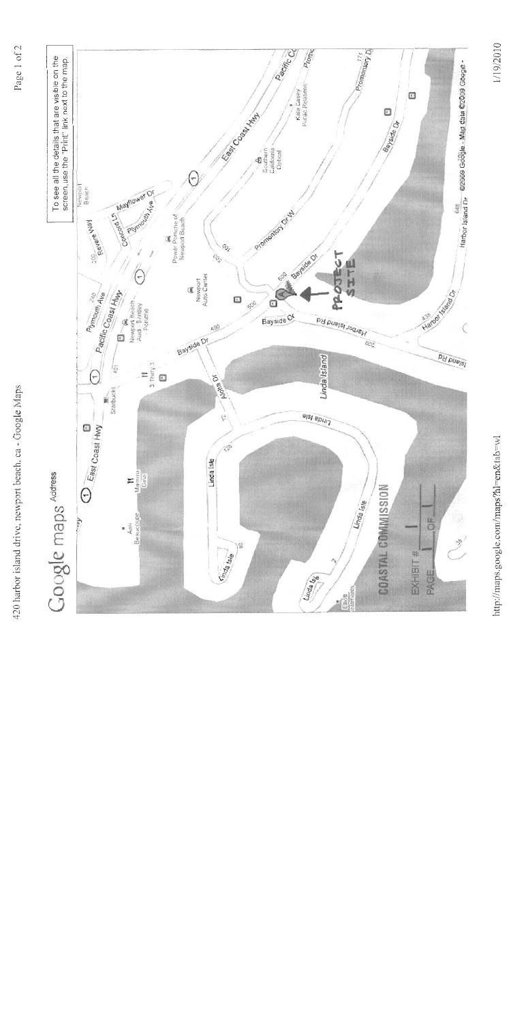420 harbor island drive, newport beach, ca - Google Maps





http://maps.google.com/maps?hl=en&tab=wl